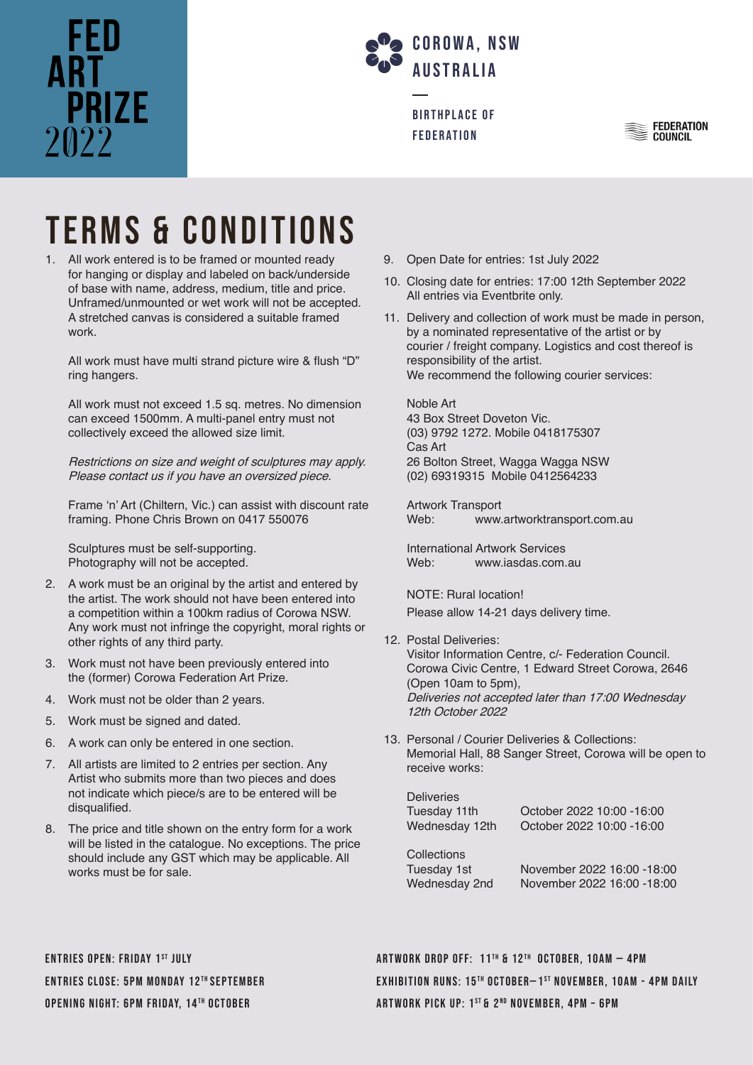## **ART<br>PRIZE**  $2022$



BIRTHPLACE OF **FEDERATION** 

**FEDERATION**<br>Council

## TERMS & CONDITIONS

1. All work entered is to be framed or mounted ready for hanging or display and labeled on back/underside of base with name, address, medium, title and price. Unframed/unmounted or wet work will not be accepted. A stretched canvas is considered a suitable framed work.

All work must have multi strand picture wire & flush "D" ring hangers.

All work must not exceed 1.5 sq. metres. No dimension can exceed 1500mm. A multi-panel entry must not collectively exceed the allowed size limit.

Restrictions on size and weight of sculptures may apply. Please contact us if you have an oversized piece.

Frame 'n' Art (Chiltern, Vic.) can assist with discount rate framing. Phone Chris Brown on 0417 550076

Sculptures must be self-supporting. Photography will not be accepted.

- 2. A work must be an original by the artist and entered by the artist. The work should not have been entered into a competition within a 100km radius of Corowa NSW. Any work must not infringe the copyright, moral rights or other rights of any third party.
- 3. Work must not have been previously entered into the (former) Corowa Federation Art Prize.
- 4. Work must not be older than 2 years.
- 5. Work must be signed and dated.
- 6. A work can only be entered in one section.
- 7. All artists are limited to 2 entries per section. Any Artist who submits more than two pieces and does not indicate which piece/s are to be entered will be disqualified.
- 8. The price and title shown on the entry form for a work will be listed in the catalogue. No exceptions. The price should include any GST which may be applicable. All works must be for sale.
- 9. Open Date for entries: 1st July 2022
- 10. Closing date for entries: 17:00 12th September 2022 All entries via Eventbrite only.
- 11. Delivery and collection of work must be made in person, by a nominated representative of the artist or by courier / freight company. Logistics and cost thereof is responsibility of the artist. We recommend the following courier services:

Noble Art 43 Box Street Doveton Vic. (03) 9792 1272. Mobile 0418175307 Cas Art 26 Bolton Street, Wagga Wagga NSW (02) 69319315 Mobile 0412564233

Artwork Transport<br>Web: www. Web: www.artworktransport.com.au

International Artwork Services<br>Web: www.iasdas.com. www.iasdas.com.au

NOTE: Rural location! Please allow 14-21 days delivery time.

12. Postal Deliveries:

Visitor Information Centre, c/- Federation Council. Corowa Civic Centre, 1 Edward Street Corowa, 2646 (Open 10am to 5pm), Deliveries not accepted later than 17:00 Wednesday 12th October 2022

13. Personal / Courier Deliveries & Collections: Memorial Hall, 88 Sanger Street, Corowa will be open to receive works:

| <b>Deliveries</b><br>Tuesday 11th<br>Wednesday 12th | October 2022 10:00 -16:00<br>October 2022 10:00 -16:00     |
|-----------------------------------------------------|------------------------------------------------------------|
| Collections<br>Tuesday 1st<br>Wednesday 2nd         | November 2022 16:00 - 18:00<br>November 2022 16:00 - 18:00 |

ENTRIES OPEN: FRIDAY 1ST JULY ENTRIES CLOSE: 5PM MONDAY 12TH SEPTEMBER OPENING NIGHT: 6PM FRIDAY, 14TH OCTOBER

ARTWORK DROP OFF:  $11<sup>TH</sup>$  &  $12<sup>TH</sup>$  october,  $10AM - 4PM$ EXHIBITION RUNS:  $15^{th}$  october- $1^{st}$  november, 10AM - 4PM daily ARTWORK PICK UP: 1ST & 2ND NOVEMBER, 4PM - 6PM